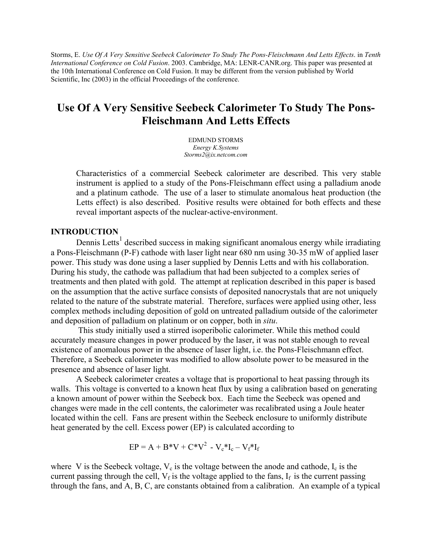Storms, E. *Use Of A Very Sensitive Seebeck Calorimeter To Study The Pons-Fleischmann And Letts Effects*. in *Tenth International Conference on Cold Fusion*. 2003. Cambridge, MA: LENR-CANR.org. This paper was presented at the 10th International Conference on Cold Fusion. It may be different from the version published by World Scientific, Inc (2003) in the official Proceedings of the conference.

# **Use Of A Very Sensitive Seebeck Calorimeter To Study The Pons-Fleischmann And Letts Effects**

EDMUND STORMS *Energy K.Systems Storms2@ix.netcom.com* 

Characteristics of a commercial Seebeck calorimeter are described. This very stable instrument is applied to a study of the Pons-Fleischmann effect using a palladium anode and a platinum cathode. The use of a laser to stimulate anomalous heat production (the Letts effect) is also described. Positive results were obtained for both effects and these reveal important aspects of the nuclear-active-environment.

### **INTRODUCTION**

Dennis Letts<sup>1</sup> described success in making significant anomalous energy while irradiating a Pons-Fleischmann (P-F) cathode with laser light near 680 nm using 30-35 mW of applied laser power. This study was done using a laser supplied by Dennis Letts and with his collaboration. During his study, the cathode was palladium that had been subjected to a complex series of treatments and then plated with gold. The attempt at replication described in this paper is based on the assumption that the active surface consists of deposited nanocrystals that are not uniquely related to the nature of the substrate material. Therefore, surfaces were applied using other, less complex methods including deposition of gold on untreated palladium outside of the calorimeter and deposition of palladium on platinum or on copper, both in *situ*.

 This study initially used a stirred isoperibolic calorimeter. While this method could accurately measure changes in power produced by the laser, it was not stable enough to reveal existence of anomalous power in the absence of laser light, i.e. the Pons-Fleischmann effect. Therefore, a Seebeck calorimeter was modified to allow absolute power to be measured in the presence and absence of laser light.

A Seebeck calorimeter creates a voltage that is proportional to heat passing through its walls. This voltage is converted to a known heat flux by using a calibration based on generating a known amount of power within the Seebeck box. Each time the Seebeck was opened and changes were made in the cell contents, the calorimeter was recalibrated using a Joule heater located within the cell. Fans are present within the Seebeck enclosure to uniformly distribute heat generated by the cell. Excess power (EP) is calculated according to

$$
EP = A + B*V + C*V2 - Vc*Ic - Vf*If
$$

where V is the Seebeck voltage,  $V_c$  is the voltage between the anode and cathode,  $I_c$  is the current passing through the cell,  $V_f$  is the voltage applied to the fans,  $I_f$  is the current passing through the fans, and A, B, C, are constants obtained from a calibration. An example of a typical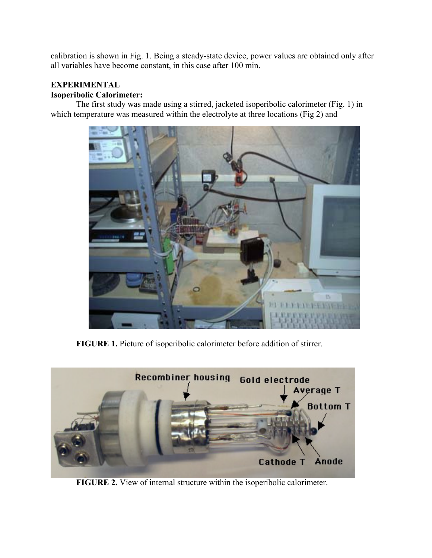calibration is shown in Fig. 1. Being a steady-state device, power values are obtained only after all variables have become constant, in this case after 100 min.

# **EXPERIMENTAL Isoperibolic Calorimeter:**

The first study was made using a stirred, jacketed isoperibolic calorimeter (Fig. 1) in which temperature was measured within the electrolyte at three locations (Fig 2) and



**FIGURE 1.** Picture of isoperibolic calorimeter before addition of stirrer.



**FIGURE 2.** View of internal structure within the isoperibolic calorimeter.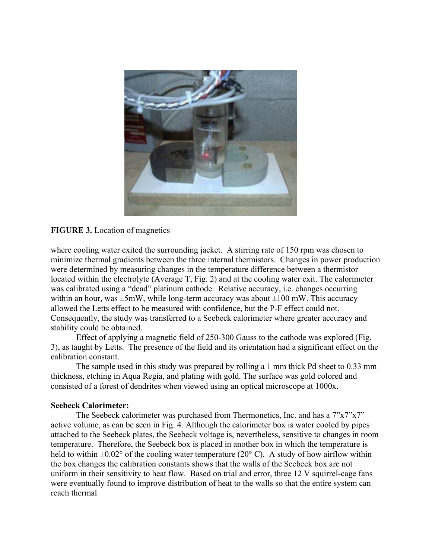

# **FIGURE 3.** Location of magnetics

where cooling water exited the surrounding jacket. A stirring rate of 150 rpm was chosen to minimize thermal gradients between the three internal thermistors. Changes in power production were determined by measuring changes in the temperature difference between a thermistor located within the electrolyte (Average T, Fig. 2) and at the cooling water exit. The calorimeter was calibrated using a "dead" platinum cathode. Relative accuracy, i.e. changes occurring within an hour, was  $\pm 5$ mW, while long-term accuracy was about  $\pm 100$  mW. This accuracy allowed the Letts effect to be measured with confidence, but the P-F effect could not. Consequently, the study was transferred to a Seebeck calorimeter where greater accuracy and stability could be obtained.

Effect of applying a magnetic field of 250-300 Gauss to the cathode was explored (Fig. 3), as taught by Letts. The presence of the field and its orientation had a significant effect on the calibration constant.

The sample used in this study was prepared by rolling a 1 mm thick Pd sheet to 0.33 mm thickness, etching in Aqua Regia, and plating with gold. The surface was gold colored and consisted of a forest of dendrites when viewed using an optical microscope at 1000x.

# **Seebeck Calorimeter:**

The Seebeck calorimeter was purchased from Thermonetics, Inc. and has a  $7^\prime$  $x7^\prime$  $x7^\prime$ active volume, as can be seen in Fig. 4. Although the calorimeter box is water cooled by pipes attached to the Seebeck plates, the Seebeck voltage is, nevertheless, sensitive to changes in room temperature. Therefore, the Seebeck box is placed in another box in which the temperature is held to within  $\pm 0.02^{\circ}$  of the cooling water temperature (20 $^{\circ}$  C). A study of how airflow within the box changes the calibration constants shows that the walls of the Seebeck box are not uniform in their sensitivity to heat flow. Based on trial and error, three 12 V squirrel-cage fans were eventually found to improve distribution of heat to the walls so that the entire system can reach thermal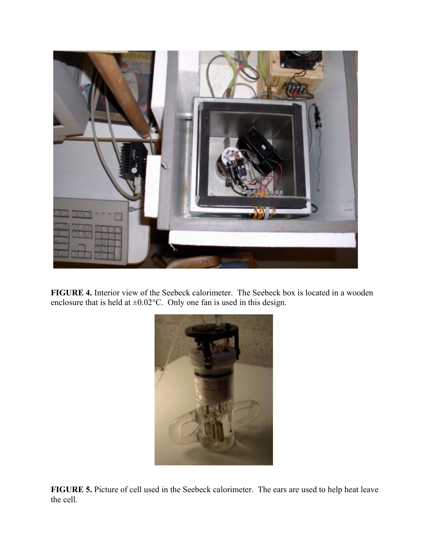

**FIGURE 4.** Interior view of the Seebeck calorimeter. The Seebeck box is located in a wooden enclosure that is held at  $\pm 0.02$ °C. Only one fan is used in this design.



**FIGURE 5.** Picture of cell used in the Seebeck calorimeter. The ears are used to help heat leave the cell.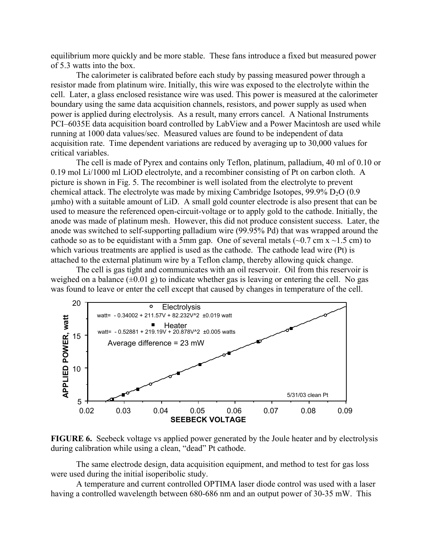equilibrium more quickly and be more stable. These fans introduce a fixed but measured power of 5.3 watts into the box.

The calorimeter is calibrated before each study by passing measured power through a resistor made from platinum wire. Initially, this wire was exposed to the electrolyte within the cell. Later, a glass enclosed resistance wire was used. This power is measured at the calorimeter boundary using the same data acquisition channels, resistors, and power supply as used when power is applied during electrolysis. As a result, many errors cancel. A National Instruments PCI–6035E data acquisition board controlled by LabView and a Power Macintosh are used while running at 1000 data values/sec. Measured values are found to be independent of data acquisition rate. Time dependent variations are reduced by averaging up to 30,000 values for critical variables.

The cell is made of Pyrex and contains only Teflon, platinum, palladium, 40 ml of 0.10 or 0.19 mol Li/1000 ml LiOD electrolyte, and a recombiner consisting of Pt on carbon cloth. A picture is shown in Fig. 5. The recombiner is well isolated from the electrolyte to prevent chemical attack. The electrolyte was made by mixing Cambridge Isotopes,  $99.9\%$   $D_2O$  (0.9 µmho) with a suitable amount of LiD. A small gold counter electrode is also present that can be used to measure the referenced open-circuit-voltage or to apply gold to the cathode. Initially, the anode was made of platinum mesh. However, this did not produce consistent success. Later, the anode was switched to self-supporting palladium wire (99.95% Pd) that was wrapped around the cathode so as to be equidistant with a 5mm gap. One of several metals ( $\sim$ 0.7 cm x  $\sim$ 1.5 cm) to which various treatments are applied is used as the cathode. The cathode lead wire (Pt) is attached to the external platinum wire by a Teflon clamp, thereby allowing quick change.

The cell is gas tight and communicates with an oil reservoir. Oil from this reservoir is weighed on a balance  $(\pm 0.01 \text{ g})$  to indicate whether gas is leaving or entering the cell. No gas was found to leave or enter the cell except that caused by changes in temperature of the cell.



**FIGURE 6.** Seebeck voltage vs applied power generated by the Joule heater and by electrolysis during calibration while using a clean, "dead" Pt cathode.

The same electrode design, data acquisition equipment, and method to test for gas loss were used during the initial isoperibolic study.

A temperature and current controlled OPTIMA laser diode control was used with a laser having a controlled wavelength between 680-686 nm and an output power of 30-35 mW. This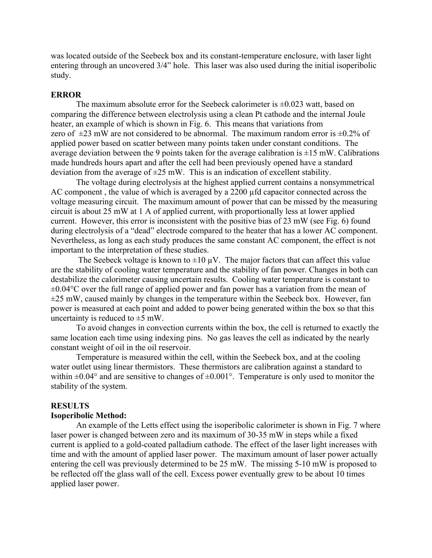was located outside of the Seebeck box and its constant-temperature enclosure, with laser light entering through an uncovered 3/4" hole. This laser was also used during the initial isoperibolic study.

## **ERROR**

The maximum absolute error for the Seebeck calorimeter is  $\pm 0.023$  watt, based on comparing the difference between electrolysis using a clean Pt cathode and the internal Joule heater, an example of which is shown in Fig. 6. This means that variations from zero of  $\pm 23$  mW are not considered to be abnormal. The maximum random error is  $\pm 0.2\%$  of applied power based on scatter between many points taken under constant conditions. The average deviation between the 9 points taken for the average calibration is  $\pm 15$  mW. Calibrations made hundreds hours apart and after the cell had been previously opened have a standard deviation from the average of  $\pm 25$  mW. This is an indication of excellent stability.

The voltage during electrolysis at the highest applied current contains a nonsymmetrical AC component, the value of which is averaged by a 2200 µfd capacitor connected across the voltage measuring circuit. The maximum amount of power that can be missed by the measuring circuit is about 25 mW at 1 A of applied current, with proportionally less at lower applied current. However, this error is inconsistent with the positive bias of 23 mW (see Fig. 6) found during electrolysis of a "dead" electrode compared to the heater that has a lower AC component. Nevertheless, as long as each study produces the same constant AC component, the effect is not important to the interpretation of these studies.

The Seebeck voltage is known to  $\pm 10 \mu V$ . The major factors that can affect this value are the stability of cooling water temperature and the stability of fan power. Changes in both can destabilize the calorimeter causing uncertain results. Cooling water temperature is constant to  $\pm 0.04$ °C over the full range of applied power and fan power has a variation from the mean of  $\pm$ 25 mW, caused mainly by changes in the temperature within the Seebeck box. However, fan power is measured at each point and added to power being generated within the box so that this uncertainty is reduced to  $\pm$ 5 mW.

 To avoid changes in convection currents within the box, the cell is returned to exactly the same location each time using indexing pins. No gas leaves the cell as indicated by the nearly constant weight of oil in the oil reservoir.

Temperature is measured within the cell, within the Seebeck box, and at the cooling water outlet using linear thermistors. These thermistors are calibration against a standard to within  $\pm 0.04^{\circ}$  and are sensitive to changes of  $\pm 0.001^{\circ}$ . Temperature is only used to monitor the stability of the system.

#### **RESULTS**

#### **Isoperibolic Method:**

An example of the Letts effect using the isoperibolic calorimeter is shown in Fig. 7 where laser power is changed between zero and its maximum of 30-35 mW in steps while a fixed current is applied to a gold-coated palladium cathode. The effect of the laser light increases with time and with the amount of applied laser power. The maximum amount of laser power actually entering the cell was previously determined to be 25 mW. The missing 5-10 mW is proposed to be reflected off the glass wall of the cell. Excess power eventually grew to be about 10 times applied laser power.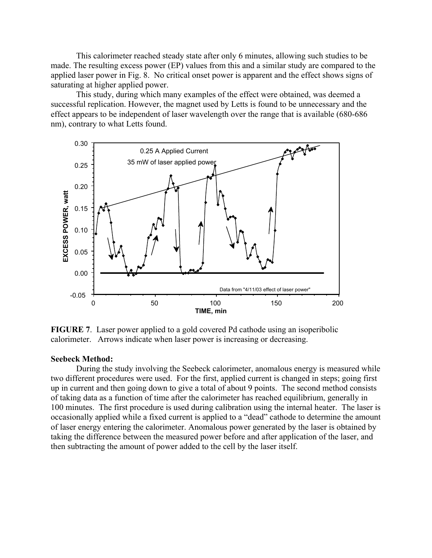This calorimeter reached steady state after only 6 minutes, allowing such studies to be made. The resulting excess power (EP) values from this and a similar study are compared to the applied laser power in Fig. 8. No critical onset power is apparent and the effect shows signs of saturating at higher applied power.

This study, during which many examples of the effect were obtained, was deemed a successful replication. However, the magnet used by Letts is found to be unnecessary and the effect appears to be independent of laser wavelength over the range that is available (680-686 nm), contrary to what Letts found.



**FIGURE 7**. Laser power applied to a gold covered Pd cathode using an isoperibolic calorimeter. Arrows indicate when laser power is increasing or decreasing.

#### **Seebeck Method:**

During the study involving the Seebeck calorimeter, anomalous energy is measured while two different procedures were used. For the first, applied current is changed in steps; going first up in current and then going down to give a total of about 9 points. The second method consists of taking data as a function of time after the calorimeter has reached equilibrium, generally in 100 minutes. The first procedure is used during calibration using the internal heater. The laser is occasionally applied while a fixed current is applied to a "dead" cathode to determine the amount of laser energy entering the calorimeter. Anomalous power generated by the laser is obtained by taking the difference between the measured power before and after application of the laser, and then subtracting the amount of power added to the cell by the laser itself.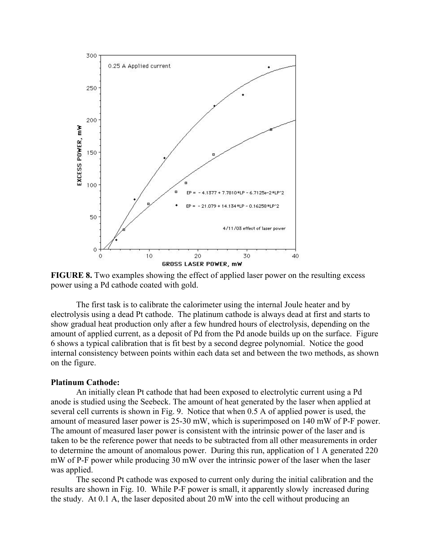

**FIGURE 8.** Two examples showing the effect of applied laser power on the resulting excess power using a Pd cathode coated with gold.

The first task is to calibrate the calorimeter using the internal Joule heater and by electrolysis using a dead Pt cathode. The platinum cathode is always dead at first and starts to show gradual heat production only after a few hundred hours of electrolysis, depending on the amount of applied current, as a deposit of Pd from the Pd anode builds up on the surface. Figure 6 shows a typical calibration that is fit best by a second degree polynomial. Notice the good internal consistency between points within each data set and between the two methods, as shown on the figure.

#### **Platinum Cathode:**

An initially clean Pt cathode that had been exposed to electrolytic current using a Pd anode is studied using the Seebeck. The amount of heat generated by the laser when applied at several cell currents is shown in Fig. 9. Notice that when 0.5 A of applied power is used, the amount of measured laser power is 25-30 mW, which is superimposed on 140 mW of P-F power. The amount of measured laser power is consistent with the intrinsic power of the laser and is taken to be the reference power that needs to be subtracted from all other measurements in order to determine the amount of anomalous power. During this run, application of 1 A generated 220 mW of P-F power while producing 30 mW over the intrinsic power of the laser when the laser was applied.

The second Pt cathode was exposed to current only during the initial calibration and the results are shown in Fig. 10. While P-F power is small, it apparently slowly increased during the study. At 0.1 A, the laser deposited about 20 mW into the cell without producing an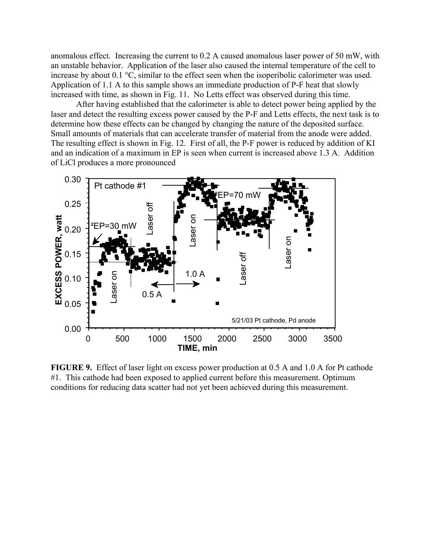anomalous effect. Increasing the current to 0.2 A caused anomalous laser power of 50 mW, with an unstable behavior. Application of the laser also caused the internal temperature of the cell to increase by about 0.1 °C, similar to the effect seen when the isoperibolic calorimeter was used. Application of 1.1 A to this sample shows an immediate production of P-F heat that slowly increased with time, as shown in Fig. 11. No Letts effect was observed during this time.

After having established that the calorimeter is able to detect power being applied by the laser and detect the resulting excess power caused by the P-F and Letts effects, the next task is to determine how these effects can be changed by changing the nature of the deposited surface. Small amounts of materials that can accelerate transfer of material from the anode were added. The resulting effect is shown in Fig. 12. First of all, the P-F power is reduced by addition of KI and an indication of a maximum in EP is seen when current is increased above 1.3 A. Addition of LiCl produces a more pronounced



**FIGURE 9.** Effect of laser light on excess power production at 0.5 A and 1.0 A for Pt cathode #1. This cathode had been exposed to applied current before this measurement. Optimum conditions for reducing data scatter had not yet been achieved during this measurement.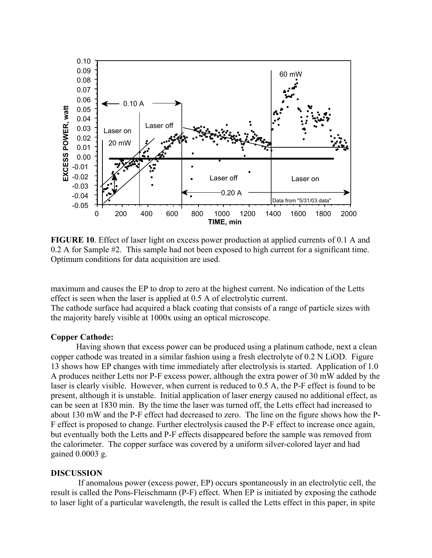

**FIGURE 10**. Effect of laser light on excess power production at applied currents of 0.1 A and 0.2 A for Sample #2. This sample had not been exposed to high current for a significant time. Optimum conditions for data acquisition are used.

maximum and causes the EP to drop to zero at the highest current. No indication of the Letts effect is seen when the laser is applied at 0.5 A of electrolytic current.

The cathode surface had acquired a black coating that consists of a range of particle sizes with the majority barely visible at 1000x using an optical microscope.

# **Copper Cathode:**

Having shown that excess power can be produced using a platinum cathode, next a clean copper cathode was treated in a similar fashion using a fresh electrolyte of 0.2 N LiOD. Figure 13 shows how EP changes with time immediately after electrolysis is started. Application of 1.0 A produces neither Letts nor P-F excess power, although the extra power of 30 mW added by the laser is clearly visible. However, when current is reduced to 0.5 A, the P-F effect is found to be present, although it is unstable. Initial application of laser energy caused no additional effect, as can be seen at 1830 min. By the time the laser was turned off, the Letts effect had increased to about 130 mW and the P-F effect had decreased to zero. The line on the figure shows how the P-F effect is proposed to change. Further electrolysis caused the P-F effect to increase once again, but eventually both the Letts and P-F effects disappeared before the sample was removed from the calorimeter. The copper surface was covered by a uniform silver-colored layer and had gained 0.0003 g.

## **DISCUSSION**

 If anomalous power (excess power, EP) occurs spontaneously in an electrolytic cell, the result is called the Pons-Fleischmann (P-F) effect. When EP is initiated by exposing the cathode to laser light of a particular wavelength, the result is called the Letts effect in this paper, in spite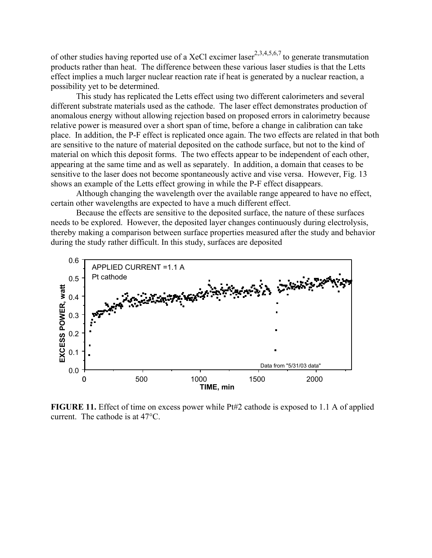of other studies having reported use of a XeCl excimer laser  $2,3,4,5,6,7$  to generate transmutation products rather than heat. The difference between these various laser studies is that the Letts effect implies a much larger nuclear reaction rate if heat is generated by a nuclear reaction, a possibility yet to be determined.

This study has replicated the Letts effect using two different calorimeters and several different substrate materials used as the cathode. The laser effect demonstrates production of anomalous energy without allowing rejection based on proposed errors in calorimetry because relative power is measured over a short span of time, before a change in calibration can take place. In addition, the P-F effect is replicated once again. The two effects are related in that both are sensitive to the nature of material deposited on the cathode surface, but not to the kind of material on which this deposit forms. The two effects appear to be independent of each other, appearing at the same time and as well as separately. In addition, a domain that ceases to be sensitive to the laser does not become spontaneously active and vise versa. However, Fig. 13 shows an example of the Letts effect growing in while the P-F effect disappears.

Although changing the wavelength over the available range appeared to have no effect, certain other wavelengths are expected to have a much different effect.

Because the effects are sensitive to the deposited surface, the nature of these surfaces needs to be explored. However, the deposited layer changes continuously during electrolysis, thereby making a comparison between surface properties measured after the study and behavior during the study rather difficult. In this study, surfaces are deposited



**FIGURE 11.** Effect of time on excess power while Pt#2 cathode is exposed to 1.1 A of applied current. The cathode is at 47°C.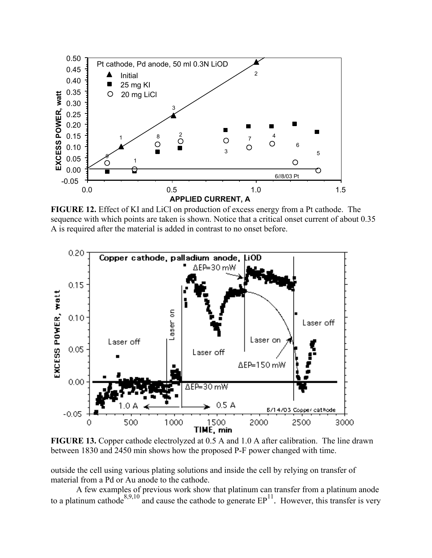

**FIGURE 12.** Effect of KI and LiCl on production of excess energy from a Pt cathode. The sequence with which points are taken is shown. Notice that a critical onset current of about 0.35 A is required after the material is added in contrast to no onset before.



**FIGURE 13.** Copper cathode electrolyzed at 0.5 A and 1.0 A after calibration. The line drawn between 1830 and 2450 min shows how the proposed P-F power changed with time.

outside the cell using various plating solutions and inside the cell by relying on transfer of material from a Pd or Au anode to the cathode.

A few examples of previous work show that platinum can transfer from a platinum anode to a platinum cathode<sup>8,9,10</sup> and cause the cathode to generate  $EP^{11}$ . However, this transfer is very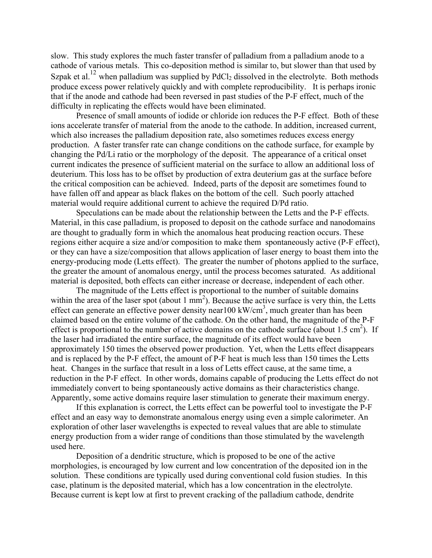slow. This study explores the much faster transfer of palladium from a palladium anode to a cathode of various metals. This co-deposition method is similar to, but slower than that used by Szpak et al.<sup>[12](#page-13-3)</sup> when palladium was supplied by  $PdCl_2$  dissolved in the electrolyte. Both methods produce excess power relatively quickly and with complete reproducibility. It is perhaps ironic that if the anode and cathode had been reversed in past studies of the P-F effect, much of the difficulty in replicating the effects would have been eliminated.

 Presence of small amounts of iodide or chloride ion reduces the P-F effect. Both of these ions accelerate transfer of material from the anode to the cathode. In addition, increased current, which also increases the palladium deposition rate, also sometimes reduces excess energy production. A faster transfer rate can change conditions on the cathode surface, for example by changing the Pd/Li ratio or the morphology of the deposit. The appearance of a critical onset current indicates the presence of sufficient material on the surface to allow an additional loss of deuterium. This loss has to be offset by production of extra deuterium gas at the surface before the critical composition can be achieved. Indeed, parts of the deposit are sometimes found to have fallen off and appear as black flakes on the bottom of the cell. Such poorly attached material would require additional current to achieve the required D/Pd ratio.

 Speculations can be made about the relationship between the Letts and the P-F effects. Material, in this case palladium, is proposed to deposit on the cathode surface and nanodomains are thought to gradually form in which the anomalous heat producing reaction occurs. These regions either acquire a size and/or composition to make them spontaneously active (P-F effect), or they can have a size/composition that allows application of laser energy to boast them into the energy-producing mode (Letts effect). The greater the number of photons applied to the surface, the greater the amount of anomalous energy, until the process becomes saturated. As additional material is deposited, both effects can either increase or decrease, independent of each other.

The magnitude of the Letts effect is proportional to the number of suitable domains within the area of the laser spot (about  $1 \text{ mm}^2$ ). Because the active surface is very thin, the Letts effect can generate an effective power density near100 kW/cm<sup>3</sup>, much greater than has been claimed based on the entire volume of the cathode. On the other hand, the magnitude of the P-F effect is proportional to the number of active domains on the cathode surface (about  $1.5 \text{ cm}^2$ ). If the laser had irradiated the entire surface, the magnitude of its effect would have been approximately 150 times the observed power production. Yet, when the Letts effect disappears and is replaced by the P-F effect, the amount of P-F heat is much less than 150 times the Letts heat. Changes in the surface that result in a loss of Letts effect cause, at the same time, a reduction in the P-F effect. In other words, domains capable of producing the Letts effect do not immediately convert to being spontaneously active domains as their characteristics change. Apparently, some active domains require laser stimulation to generate their maximum energy.

If this explanation is correct, the Letts effect can be powerful tool to investigate the P-F effect and an easy way to demonstrate anomalous energy using even a simple calorimeter. An exploration of other laser wavelengths is expected to reveal values that are able to stimulate energy production from a wider range of conditions than those stimulated by the wavelength used here.

 Deposition of a dendritic structure, which is proposed to be one of the active morphologies, is encouraged by low current and low concentration of the deposited ion in the solution. These conditions are typically used during conventional cold fusion studies. In this case, platinum is the deposited material, which has a low concentration in the electrolyte. Because current is kept low at first to prevent cracking of the palladium cathode, dendrite